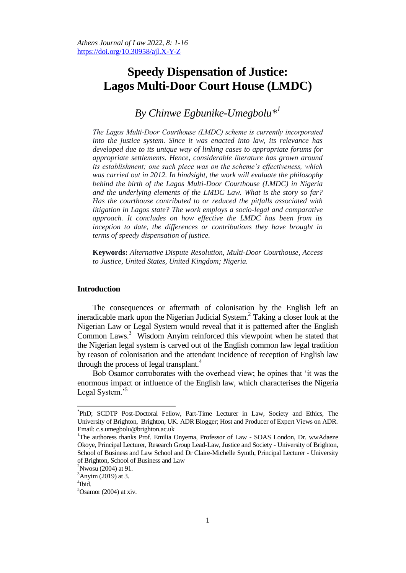# **Speedy Dispensation of Justice: Lagos Multi-Door Court House (LMDC)**

# *By Chinwe Egbunike-Umegbolu\* 1*

*The Lagos Multi-Door Courthouse (LMDC) scheme is currently incorporated into the justice system. Since it was enacted into law, its relevance has developed due to its unique way of linking cases to appropriate forums for appropriate settlements. Hence, considerable literature has grown around its establishment; one such piece was on the scheme's effectiveness, which was carried out in 2012. In hindsight, the work will evaluate the philosophy behind the birth of the Lagos Multi-Door Courthouse (LMDC) in Nigeria and the underlying elements of the LMDC Law. What is the story so far? Has the courthouse contributed to or reduced the pitfalls associated with litigation in Lagos state? The work employs a socio-legal and comparative approach. It concludes on how effective the LMDC has been from its inception to date, the differences or contributions they have brought in terms of speedy dispensation of justice.* 

**Keywords:** *Alternative Dispute Resolution, Multi-Door Courthouse, Access to Justice, United States, United Kingdom; Nigeria.*

# **Introduction**

The consequences or aftermath of colonisation by the English left an ineradicable mark upon the Nigerian Judicial System. 2 Taking a closer look at the Nigerian Law or Legal System would reveal that it is patterned after the English Common Laws.<sup>3</sup> Wisdom Anyim reinforced this viewpoint when he stated that the Nigerian legal system is carved out of the English common law legal tradition by reason of colonisation and the attendant incidence of reception of English law through the process of legal transplant.<sup>4</sup>

Bob Osamor corroborates with the overhead view; he opines that "it was the enormous impact or influence of the English law, which characterises the Nigeria Legal System."

<sup>\*</sup> PhD; SCDTP Post-Doctoral Fellow, Part-Time Lecturer in Law, Society and Ethics, The University of Brighton, Brighton, UK. ADR Blogger; Host and Producer of Expert Views on ADR. Email: c.s.umegbolu@brighton.ac.uk

<sup>&</sup>lt;sup>1</sup>The authoress thanks Prof. Emilia Onyema, Professor of Law - SOAS London, Dr. wwAdaeze Okoye, Principal Lecturer, Research Group Lead-Law, Justice and Society - University of Brighton, School of Business and Law School and Dr Claire-Michelle Symth, Principal Lecturer - University of Brighton, School of Business and Law

 $2^2$ Nwosu (2004) at 91.

 $3$ Anyim (2019) at 3.

<sup>4</sup> Ibid.

 $5$ Osamor (2004) at xiv.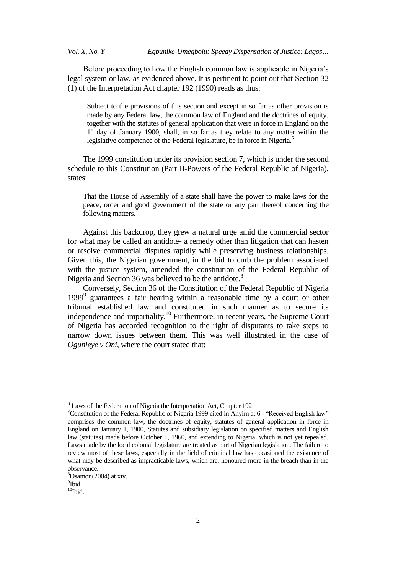Before proceeding to how the English common law is applicable in Nigeria's legal system or law, as evidenced above. It is pertinent to point out that Section 32 (1) of the Interpretation Act chapter 192 (1990) reads as thus:

Subject to the provisions of this section and except in so far as other provision is made by any Federal law, the common law of England and the doctrines of equity, together with the statutes of general application that were in force in England on the 1<sup>st</sup> day of January 1900, shall, in so far as they relate to any matter within the legislative competence of the Federal legislature, be in force in Nigeria.<sup>6</sup>

The 1999 constitution under its provision section 7, which is under the second schedule to this Constitution (Part II-Powers of the Federal Republic of Nigeria), states:

That the House of Assembly of a state shall have the power to make laws for the peace, order and good government of the state or any part thereof concerning the following matters.

Against this backdrop, they grew a natural urge amid the commercial sector for what may be called an antidote- a remedy other than litigation that can hasten or resolve commercial disputes rapidly while preserving business relationships. Given this, the Nigerian government, in the bid to curb the problem associated with the justice system, amended the constitution of the Federal Republic of Nigeria and Section 36 was believed to be the antidote.<sup>8</sup>

Conversely, Section 36 of the Constitution of the Federal Republic of Nigeria 1999<sup>9</sup> guarantees a fair hearing within a reasonable time by a court or other tribunal established law and constituted in such manner as to secure its independence and impartiality.<sup>10</sup> Furthermore, in recent years, the Supreme Court of Nigeria has accorded recognition to the right of disputants to take steps to narrow down issues between them. This was well illustrated in the case of *Ogunleye v Oni,* where the court stated that:

1

<sup>&</sup>lt;sup>6</sup> Laws of the Federation of Nigeria the Interpretation Act, Chapter 192

<sup>&</sup>lt;sup>7</sup>Constitution of the Federal Republic of Nigeria 1999 cited in Anyim at  $6$  - "Received English law" comprises the common law, the doctrines of equity, statutes of general application in force in England on January 1, 1900, Statutes and subsidiary legislation on specified matters and English law (statutes) made before October 1, 1960, and extending to Nigeria, which is not yet repealed. Laws made by the local colonial legislature are treated as part of Nigerian legislation. The failure to review most of these laws, especially in the field of criminal law has occasioned the existence of what may be described as impracticable laws, which are, honoured more in the breach than in the observance.

 ${}^{8}$ Osamor (2004) at xiv.

<sup>&</sup>lt;sup>9</sup>Ibid.

 $^{10}$ Ibid.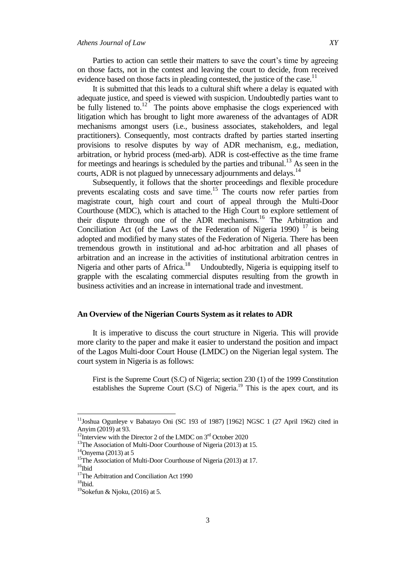Parties to action can settle their matters to save the court's time by agreeing on those facts, not in the contest and leaving the court to decide, from received evidence based on those facts in pleading contested, the justice of the case.<sup>11</sup>

It is submitted that this leads to a cultural shift where a delay is equated with adequate justice, and speed is viewed with suspicion. Undoubtedly parties want to be fully listened to.<sup>12</sup> The points above emphasise the clogs experienced with litigation which has brought to light more awareness of the advantages of ADR mechanisms amongst users (i.e., business associates, stakeholders, and legal practitioners). Consequently, most contracts drafted by parties started inserting provisions to resolve disputes by way of ADR mechanism, e.g., mediation, arbitration, or hybrid process (med-arb). ADR is cost-effective as the time frame for meetings and hearings is scheduled by the parties and tribunal.<sup>13</sup> As seen in the courts, ADR is not plagued by unnecessary adjournments and delays.<sup>14</sup>

Subsequently, it follows that the shorter proceedings and flexible procedure prevents escalating costs and save time.<sup>15</sup> The courts now refer parties from magistrate court, high court and court of appeal through the Multi-Door Courthouse (MDC), which is attached to the High Court to explore settlement of their dispute through one of the ADR mechanisms.<sup>16</sup> The Arbitration and Conciliation Act (of the Laws of the Federation of Nigeria 1990)  $17$  is being adopted and modified by many states of the Federation of Nigeria. There has been tremendous growth in institutional and ad-hoc arbitration and all phases of arbitration and an increase in the activities of institutional arbitration centres in Nigeria and other parts of Africa.<sup>18</sup> Undoubtedly, Nigeria is equipping itself to grapple with the escalating commercial disputes resulting from the growth in business activities and an increase in international trade and investment.

### **An Overview of the Nigerian Courts System as it relates to ADR**

It is imperative to discuss the court structure in Nigeria. This will provide more clarity to the paper and make it easier to understand the position and impact of the Lagos Multi-door Court House (LMDC) on the Nigerian legal system. The court system in Nigeria is as follows:

First is the Supreme Court (S.C) of Nigeria; section 230 (1) of the 1999 Constitution establishes the Supreme Court (S.C) of Nigeria.<sup>19</sup> This is the apex court, and its

<sup>&</sup>lt;sup>11</sup>Joshua Ogunleye v Babatayo Oni (SC 193 of 1987) [1962] NGSC 1 (27 April 1962) cited in Anyim (2019) at 93.

<sup>&</sup>lt;sup>12</sup>Interview with the Director 2 of the LMDC on  $3<sup>rd</sup>$  October 2020

<sup>&</sup>lt;sup>13</sup>The Association of Multi-Door Courthouse of Nigeria (2013) at 15.

 $14$ Onyema (2013) at 5

<sup>&</sup>lt;sup>15</sup>The Association of Multi-Door Courthouse of Nigeria (2013) at 17.

 $16$ Ibid

<sup>&</sup>lt;sup>17</sup>The Arbitration and Conciliation Act 1990

 $18$ Ibid.

<sup>&</sup>lt;sup>19</sup>Sokefun & Njoku, (2016) at 5.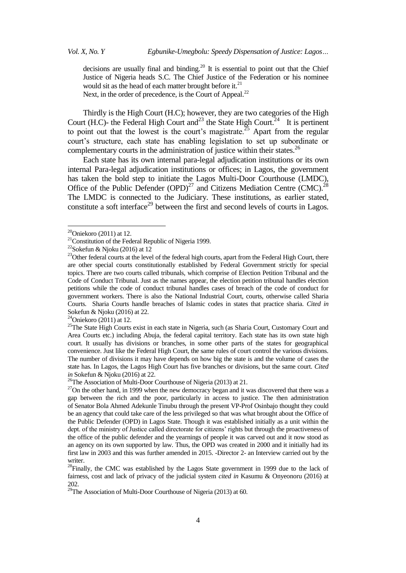decisions are usually final and binding.<sup>20</sup> It is essential to point out that the Chief Justice of Nigeria heads S.C. The Chief Justice of the Federation or his nominee would sit as the head of each matter brought before it. $^{21}$ Next, in the order of precedence, is the Court of Appeal.<sup>22</sup>

Thirdly is the High Court (H.C); however, they are two categories of the High Court (H.C)- the Federal High Court and<sup>23</sup> the State High Court.<sup>24</sup> It is pertinent to point out that the lowest is the court's magistrate.<sup>25</sup> Apart from the regular court"s structure, each state has enabling legislation to set up subordinate or complementary courts in the administration of justice within their states.<sup>26</sup>

Each state has its own internal para-legal adjudication institutions or its own internal Para-legal adjudication institutions or offices; in Lagos, the government has taken the bold step to initiate the Lagos Multi-Door Courthouse (LMDC), Office of the Public Defender  $(\text{OPD})^{27}$  and Citizens Mediation Centre (CMC).<sup>28</sup> The LMDC is connected to the Judiciary. These institutions, as earlier stated, constitute a soft interface<sup>29</sup> between the first and second levels of courts in Lagos.

 $20$ Oniekoro (2011) at 12.

 $21$ Constitution of the Federal Republic of Nigeria 1999.

<sup>&</sup>lt;sup>22</sup>Sokefun & Njoku (2016) at 12

<sup>&</sup>lt;sup>23</sup>Other federal courts at the level of the federal high courts, apart from the Federal High Court, there are other special courts constitutionally established by Federal Government strictly for special topics. There are two courts called tribunals, which comprise of Election Petition Tribunal and the Code of Conduct Tribunal. Just as the names appear, the election petition tribunal handles election petitions while the code of conduct tribunal handles cases of breach of the code of conduct for government workers. There is also the National Industrial Court, courts, otherwise called Sharia Courts. Sharia Courts handle breaches of Islamic codes in states that practice sharia. *Cited in* Sokefun & Njoku (2016) at 22.

 $24$ Oniekoro (2011) at 12.

<sup>&</sup>lt;sup>25</sup>The State High Courts exist in each state in Nigeria, such (as Sharia Court, Customary Court and Area Courts etc.) including Abuja, the federal capital territory. Each state has its own state high court. It usually has divisions or branches, in some other parts of the states for geographical convenience. Just like the Federal High Court, the same rules of court control the various divisions. The number of divisions it may have depends on how big the state is and the volume of cases the state has. In Lagos, the Lagos High Court has five branches or divisions, but the same court. *Cited in* Sokefun & Njoku (2016) at 22.

<sup>&</sup>lt;sup>26</sup>The Association of Multi-Door Courthouse of Nigeria (2013) at 21.

 $27$ On the other hand, in 1999 when the new democracy began and it was discovered that there was a gap between the rich and the poor, particularly in access to justice. The then administration of Senator Bola Ahmed Adekunle Tinubu through the present VP-Prof Osinbajo thought they could be an agency that could take care of the less privileged so that was what brought about the Office of the Public Defender (OPD) in Lagos State. Though it was established initially as a unit within the dept. of the ministry of Justice called directorate for citizens" rights but through the proactiveness of the office of the public defender and the yearnings of people it was carved out and it now stood as an agency on its own supported by law. Thus, the OPD was created in 2000 and it initially had its first law in 2003 and this was further amended in 2015. -Director 2- an Interview carried out by the writer.

<sup>&</sup>lt;sup>28</sup>Finally, the CMC was established by the Lagos State government in 1999 due to the lack of fairness, cost and lack of privacy of the judicial system *cited in* Kasumu & Onyeonoru (2016) at 202.

 $292.$  The Association of Multi-Door Courthouse of Nigeria (2013) at 60.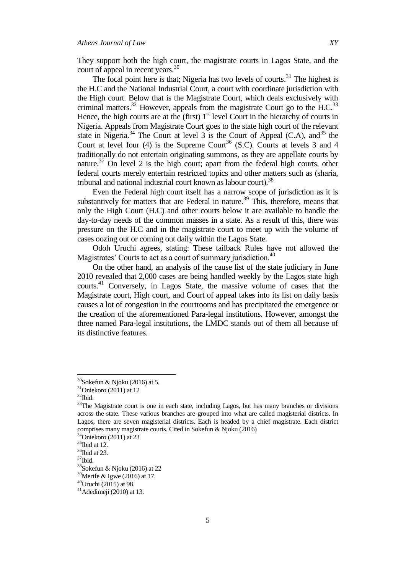They support both the high court, the magistrate courts in Lagos State, and the court of appeal in recent years.<sup>30</sup>

The focal point here is that; Nigeria has two levels of courts. $31$  The highest is the H.C and the National Industrial Court, a court with coordinate jurisdiction with the High court. Below that is the Magistrate Court, which deals exclusively with criminal matters.<sup>32</sup> However, appeals from the magistrate Court go to the H.C.<sup>33</sup> Hence, the high courts are at the (first)  $1<sup>st</sup>$  level Court in the hierarchy of courts in Nigeria. Appeals from Magistrate Court goes to the state high court of the relevant state in Nigeria.<sup>34</sup> The Court at level 3 is the Court of Appeal (C.A), and<sup>35</sup> the Court at level four (4) is the Supreme Court<sup>36</sup> (S.C). Courts at levels 3 and 4 traditionally do not entertain originating summons, as they are appellate courts by nature.<sup>37</sup> On level 2 is the high court; apart from the federal high courts, other federal courts merely entertain restricted topics and other matters such as (sharia, tribunal and national industrial court known as labour court).<sup>38</sup>

Even the Federal high court itself has a narrow scope of jurisdiction as it is substantively for matters that are Federal in nature.<sup>39</sup> This, therefore, means that only the High Court (H.C) and other courts below it are available to handle the day-to-day needs of the common masses in a state. As a result of this, there was pressure on the H.C and in the magistrate court to meet up with the volume of cases oozing out or coming out daily within the Lagos State.

Odoh Uruchi agrees, stating: These tailback Rules have not allowed the Magistrates' Courts to act as a court of summary jurisdiction.<sup>40</sup>

On the other hand, an analysis of the cause list of the state judiciary in June 2010 revealed that 2,000 cases are being handled weekly by the Lagos state high courts.<sup>41</sup> Conversely, in Lagos State, the massive volume of cases that the Magistrate court, High court, and Court of appeal takes into its list on daily basis causes a lot of congestion in the courtrooms and has precipitated the emergence or the creation of the aforementioned Para-legal institutions. However, amongst the three named Para-legal institutions, the LMDC stands out of them all because of its distinctive features.

 $30$ Sokefun & Njoku (2016) at 5.

 $31$ Oniekoro (2011) at 12

 $32$ Ibid.

<sup>&</sup>lt;sup>33</sup>The Magistrate court is one in each state, including Lagos, but has many branches or divisions across the state. These various branches are grouped into what are called magisterial districts. In Lagos, there are seven magisterial districts. Each is headed by a chief magistrate. Each district comprises many magistrate courts. Cited in Sokefun & Njoku (2016)

<sup>34</sup>Oniekoro (2011) at 23

 $35$ Ibid at 12.

<sup>&</sup>lt;sup>36</sup>Ibid at 23.

<sup>37</sup>Ibid.

<sup>38</sup>Sokefun & Njoku (2016) at 22

 $39$ Merife & Igwe (2016) at 17.

 $40$ Uruchi (2015) at 98.

 $41$ Adedimeji (2010) at 13.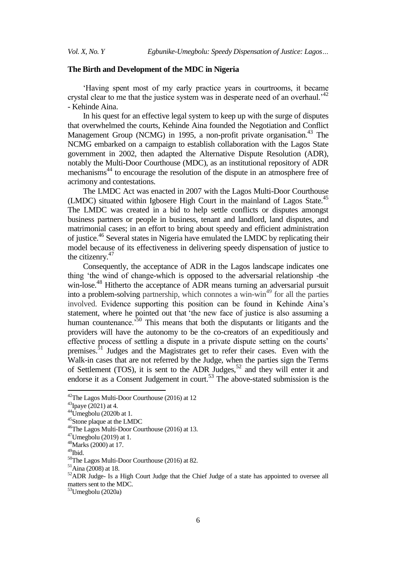# **The Birth and Development of the MDC in Nigeria**

"Having spent most of my early practice years in courtrooms, it became crystal clear to me that the justice system was in desperate need of an overhaul.<sup> $42$ </sup> *-* Kehinde Aina.

In his quest for an effective legal system to keep up with the surge of disputes that overwhelmed the courts, Kehinde Aina founded the Negotiation and Conflict Management Group (NCMG) in 1995, a non-profit private organisation.<sup>43</sup> The NCMG embarked on a campaign to establish collaboration with the Lagos State government in 2002, then adapted the Alternative Dispute Resolution (ADR), notably the Multi-Door Courthouse (MDC), as an institutional repository of ADR mechanisms<sup>44</sup> to encourage the resolution of the dispute in an atmosphere free of acrimony and contestations.

The LMDC Act was enacted in 2007 with the Lagos Multi-Door Courthouse (LMDC) situated within Igbosere High Court in the mainland of Lagos State.<sup>45</sup> The LMDC was created in a bid to help settle conflicts or disputes amongst business partners or people in business, tenant and landlord, land disputes, and matrimonial cases; in an effort to bring about speedy and efficient administration of justice.<sup>46</sup> Several states in Nigeria have emulated the LMDC by replicating their model because of its effectiveness in delivering speedy dispensation of justice to the citizenry.<sup>47</sup>

Consequently, the acceptance of ADR in the Lagos landscape indicates one thing "the wind of change-which is opposed to the adversarial relationship -the win-lose.<sup>48</sup> Hitherto the acceptance of ADR means turning an adversarial pursuit into a problem-solving partnership, which connotes a win-win<sup>49</sup> for all the parties involved. Evidence supporting this position can be found in Kehinde Aina"s statement, where he pointed out that "the new face of justice is also assuming a human countenance.<sup>50</sup> This means that both the disputants or litigants and the providers will have the autonomy to be the co-creators of an expeditiously and effective process of settling a dispute in a private dispute setting on the courts" premises.<sup>51</sup> Judges and the Magistrates get to refer their cases. Even with the Walk-in cases that are not referred by the Judge, when the parties sign the Terms of Settlement (TOS), it is sent to the ADR Judges,<sup>52</sup> and they will enter it and endorse it as a Consent Judgement in court.<sup>53</sup> The above-stated submission is the

1

<sup>53</sup>Umegbolu (2020a)

<sup>&</sup>lt;sup>42</sup>The Lagos Multi-Door Courthouse (2016) at 12

 $43$ Ipaye (2021) at 4.

 $44$ Umegbolu (2020b at 1.

<sup>45</sup>Stone plaque at the LMDC

<sup>46</sup>The Lagos Multi-Door Courthouse (2016) at 13.

 $47$ Umegbolu (2019) at 1.

<sup>48</sup>Marks (2000) at 17.

 $49$ Ibid.

<sup>50</sup>The Lagos Multi-Door Courthouse (2016) at 82.

<sup>51</sup>Aina (2008) at 18.

<sup>&</sup>lt;sup>52</sup>ADR Judge- Is a High Court Judge that the Chief Judge of a state has appointed to oversee all matters sent to the MDC.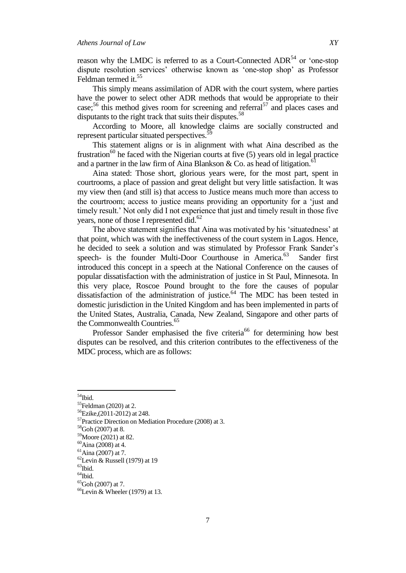reason why the LMDC is referred to as a Court-Connected ADR $^{54}$  or 'one-stop dispute resolution services" otherwise known as "one-stop shop" as Professor Feldman termed it.<sup>55</sup>

This simply means assimilation of ADR with the court system, where parties have the power to select other ADR methods that would be appropriate to their case;<sup>56</sup> this method gives room for screening and referral<sup>57</sup> and places cases and disputants to the right track that suits their disputes.<sup>58</sup>

According to Moore, all knowledge claims are socially constructed and represent particular situated perspectives.<sup>59</sup>

This statement aligns or is in alignment with what Aina described as the frustration<sup>60</sup> he faced with the Nigerian courts at five  $(5)$  years old in legal practice and a partner in the law firm of Aina Blankson & Co. as head of litigation.<sup>61</sup>

Aina stated: Those short, glorious years were, for the most part, spent in courtrooms, a place of passion and great delight but very little satisfaction. It was my view then (and still is) that access to Justice means much more than access to the courtroom; access to justice means providing an opportunity for a "just and timely result." Not only did I not experience that just and timely result in those five years, none of those I represented did.<sup>62</sup>

The above statement signifies that Aina was motivated by his 'situatedness' at that point, which was with the ineffectiveness of the court system in Lagos. Hence, he decided to seek a solution and was stimulated by Professor Frank Sander"s speech- is the founder Multi-Door Courthouse in America.<sup>63</sup> Sander first introduced this concept in a speech at the National Conference on the causes of popular dissatisfaction with the administration of justice in St Paul, Minnesota. In this very place, Roscoe Pound brought to the fore the causes of popular dissatisfaction of the administration of justice. $64$  The MDC has been tested in domestic jurisdiction in the United Kingdom and has been implemented in parts of the United States, Australia, Canada, New Zealand, Singapore and other parts of the Commonwealth Countries.<sup>65</sup>

Professor Sander emphasised the five criteria<sup>66</sup> for determining how best disputes can be resolved, and this criterion contributes to the effectiveness of the MDC process, which are as follows:

 $54$ Ibid.

 $55$ Feldman (2020) at 2.

<sup>56</sup>Ezike,(2011-2012) at 248.

<sup>57</sup>Practice Direction on Mediation Procedure (2008) at 3.

 $58$ Goh (2007) at 8.

<sup>59</sup>Moore (2021) at 82.

 $60$ Aina (2008) at 4.

 ${}^{61}$ Aina (2007) at 7.

 $62$ Levin & Russell (1979) at 19

 $63$ Ibid.

 $^{64}$ Ibid.

 ${}^{65}$ Goh (2007) at 7.

 $66$ Levin & Wheeler (1979) at 13.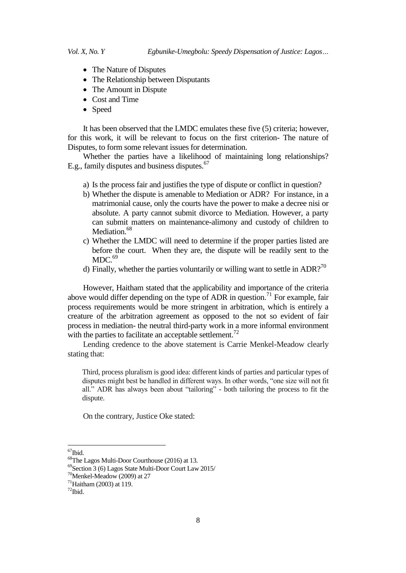- The Nature of Disputes
- The Relationship between Disputants
- The Amount in Dispute
- Cost and Time
- Speed

It has been observed that the LMDC emulates these five (5) criteria; however, for this work, it will be relevant to focus on the first criterion- The nature of Disputes, to form some relevant issues for determination.

Whether the parties have a likelihood of maintaining long relationships? E.g., family disputes and business disputes.<sup>67</sup>

- a) Is the process fair and justifies the type of dispute or conflict in question?
- b) Whether the dispute is amenable to Mediation or ADR? For instance, in a matrimonial cause, only the courts have the power to make a decree nisi or absolute. A party cannot submit divorce to Mediation. However, a party can submit matters on maintenance-alimony and custody of children to Mediation.<sup>68</sup>
- c) Whether the LMDC will need to determine if the proper parties listed are before the court. When they are, the dispute will be readily sent to the  $MDC.<sup>69</sup>$
- d) Finally, whether the parties voluntarily or willing want to settle in ADR?<sup>70</sup>

However, Haitham stated that the applicability and importance of the criteria above would differ depending on the type of ADR in question.<sup>71</sup> For example, fair process requirements would be more stringent in arbitration, which is entirely a creature of the arbitration agreement as opposed to the not so evident of fair process in mediation- the neutral third-party work in a more informal environment with the parties to facilitate an acceptable settlement.<sup>72</sup>

Lending credence to the above statement is Carrie Menkel-Meadow clearly stating that:

Third, process pluralism is good idea: different kinds of parties and particular types of disputes might best be handled in different ways. In other words, "one size will not fit all." ADR has always been about "tailoring" - both tailoring the process to fit the dispute.

On the contrary, Justice Oke stated:

 $67$ Ibid.

<sup>68</sup>The Lagos Multi-Door Courthouse (2016) at 13.

<sup>69</sup>Section 3 (6) Lagos State Multi-Door Court Law 2015/

 $70$ Menkel-Meadow (2009) at 27

 $71$ Haitham (2003) at 119.

 $72$ Ibid.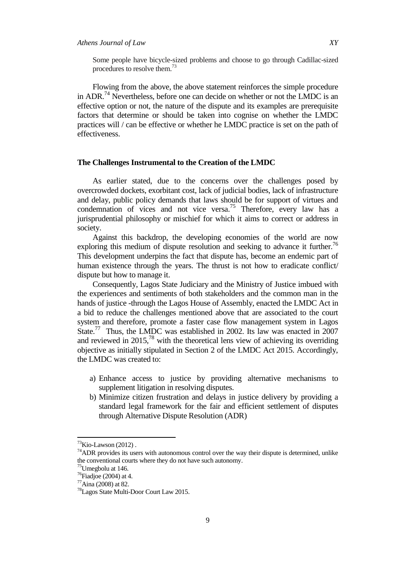Some people have bicycle-sized problems and choose to go through Cadillac-sized procedures to resolve them.<sup>73</sup>

Flowing from the above, the above statement reinforces the simple procedure in ADR.<sup>74</sup> Nevertheless, before one can decide on whether or not the LMDC is an effective option or not, the nature of the dispute and its examples are prerequisite factors that determine or should be taken into cognise on whether the LMDC practices will / can be effective or whether he LMDC practice is set on the path of effectiveness.

# **The Challenges Instrumental to the Creation of the LMDC**

As earlier stated, due to the concerns over the challenges posed by overcrowded dockets, exorbitant cost, lack of judicial bodies, lack of infrastructure and delay, public policy demands that laws should be for support of virtues and condemnation of vices and not vice versa.<sup>75</sup> Therefore, every law has a jurisprudential philosophy or mischief for which it aims to correct or address in society.

Against this backdrop, the developing economies of the world are now exploring this medium of dispute resolution and seeking to advance it further.<sup>76</sup> This development underpins the fact that dispute has, become an endemic part of human existence through the years. The thrust is not how to eradicate conflict/ dispute but how to manage it.

Consequently, Lagos State Judiciary and the Ministry of Justice imbued with the experiences and sentiments of both stakeholders and the common man in the hands of justice -through the Lagos House of Assembly, enacted the LMDC Act in a bid to reduce the challenges mentioned above that are associated to the court system and therefore, promote a faster case flow management system in Lagos State.<sup>77</sup> Thus, the LMDC was established in 2002. Its law was enacted in 2007 and reviewed in 2015,<sup>78</sup> with the theoretical lens view of achieving its overriding objective as initially stipulated in Section 2 of the LMDC Act 2015. Accordingly, the LMDC was created to:

- a) Enhance access to justice by providing alternative mechanisms to supplement litigation in resolving disputes.
- b) Minimize citizen frustration and delays in justice delivery by providing a standard legal framework for the fair and efficient settlement of disputes through Alternative Dispute Resolution (ADR)

 $73$ Kio-Lawson (2012).

 $74$ ADR provides its users with autonomous control over the way their dispute is determined, unlike the conventional courts where they do not have such autonomy.

<sup>75</sup>Umegbolu at 146.

 $76$ Fiadjoe (2004) at 4.

<sup>77</sup>Aina (2008) at 82.

<sup>78</sup>Lagos State Multi-Door Court Law 2015.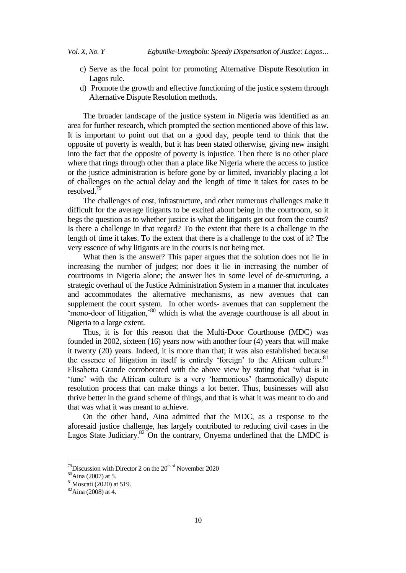- c) Serve as the focal point for promoting Alternative Dispute Resolution in Lagos rule.
- d) Promote the growth and effective functioning of the justice system through Alternative Dispute Resolution methods.

The broader landscape of the justice system in Nigeria was identified as an area for further research, which prompted the section mentioned above of this law. It is important to point out that on a good day, people tend to think that the opposite of poverty is wealth, but it has been stated otherwise, giving new insight into the fact that the opposite of poverty is injustice. Then there is no other place where that rings through other than a place like Nigeria where the access to justice or the justice administration is before gone by or limited, invariably placing a lot of challenges on the actual delay and the length of time it takes for cases to be resolved.<sup>79</sup>

The challenges of cost, infrastructure, and other numerous challenges make it difficult for the average litigants to be excited about being in the courtroom, so it begs the question as to whether justice is what the litigants get out from the courts? Is there a challenge in that regard? To the extent that there is a challenge in the length of time it takes. To the extent that there is a challenge to the cost of it? The very essence of why litigants are in the courts is not being met.

What then is the answer? This paper argues that the solution does not lie in increasing the number of judges; nor does it lie in increasing the number of courtrooms in Nigeria alone; the answer lies in some level of de-structuring, a strategic overhaul of the Justice Administration System in a manner that inculcates and accommodates the alternative mechanisms, as new avenues that can supplement the court system. In other words- avenues that can supplement the 'mono-door of litigation,<sup>80</sup> which is what the average courthouse is all about in Nigeria to a large extent*.*

Thus, it is for this reason that the Multi-Door Courthouse (MDC) was founded in 2002, sixteen (16) years now with another four (4) years that will make it twenty (20) years. Indeed, it is more than that; it was also established because the essence of litigation in itself is entirely 'foreign' to the African culture.<sup>81</sup> Elisabetta Grande corroborated with the above view by stating that "what is in 'tune' with the African culture is a very 'harmonious' (harmonically) dispute resolution process that can make things a lot better. Thus, businesses will also thrive better in the grand scheme of things, and that is what it was meant to do and that was what it was meant to achieve.

On the other hand, Aina admitted that the MDC, as a response to the aforesaid justice challenge, has largely contributed to reducing civil cases in the Lagos State Judiciary.<sup>82</sup> On the contrary, Onyema underlined that the LMDC is

 $79$ Discussion with Director 2 on the  $20^{th}$  of November 2020

<sup>80</sup>Aina (2007) at 5.

<sup>81</sup>Moscati (2020) at 519.

<sup>82</sup>Aina (2008) at 4.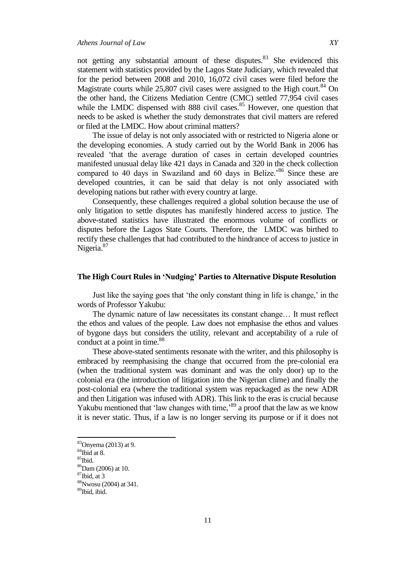not getting any substantial amount of these disputes.<sup>83</sup> She evidenced this statement with statistics provided by the Lagos State Judiciary, which revealed that for the period between 2008 and 2010, 16,072 civil cases were filed before the Magistrate courts while  $25,807$  civil cases were assigned to the High court.<sup>84</sup> On the other hand, the Citizens Mediation Centre (CMC) settled 77,954 civil cases while the LMDC dispensed with 888 civil cases. $85$  However, one question that needs to be asked is whether the study demonstrates that civil matters are refered or filed at the LMDC. How about criminal matters?

The issue of delay is not only associated with or restricted to Nigeria alone or the developing economies. A study carried out by the World Bank in 2006 has revealed "that the average duration of cases in certain developed countries manifested unusual delay like 421 days in Canada and 320 in the check collection compared to 40 days in Swaziland and 60 days in Belize.<sup>86</sup> Since these are developed countries, it can be said that delay is not only associated with developing nations but rather with every country at large.

Consequently, these challenges required a global solution because the use of only litigation to settle disputes has manifestly hindered access to justice. The above-stated statistics have illustrated the enormous volume of conflicts or disputes before the Lagos State Courts. Therefore, the LMDC was birthed to rectify these challenges that had contributed to the hindrance of access to justice in Nigeria.<sup>87</sup>

#### **The High Court Rules in 'Nudging' Parties to Alternative Dispute Resolution**

Just like the saying goes that "the only constant thing in life is change," in the words of Professor Yakubu:

The dynamic nature of law necessitates its constant change… It must reflect the ethos and values of the people. Law does not emphasise the ethos and values of bygone days but considers the utility, relevant and acceptability of a rule of conduct at a point in time.<sup>88</sup>

These above-stated sentiments resonate with the writer, and this philosophy is embraced by reemphasising the change that occurred from the pre-colonial era (when the traditional system was dominant and was the only door) up to the colonial era (the introduction of litigation into the Nigerian clime) and finally the post-colonial era (where the traditional system was repackaged as the new ADR and then Litigation was infused with ADR). This link to the eras is crucial because Yakubu mentioned that 'law changes with time,'<sup>89</sup> a proof that the law as we know it is never static. Thus, if a law is no longer serving its purpose or if it does not

<sup>83</sup>Onyema (2013) at 9.

 $84$ Ibid at 8.

<sup>85</sup>Ibid.

<sup>86</sup>Dam (2006) at 10.

 $87$ Ibid, at 3

<sup>88</sup>Nwosu (2004) at 341.

<sup>89</sup>Ibid, ibid.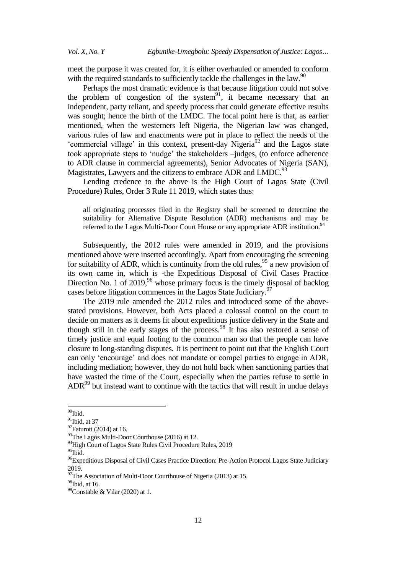meet the purpose it was created for, it is either overhauled or amended to conform with the required standards to sufficiently tackle the challenges in the law.<sup>90</sup>

Perhaps the most dramatic evidence is that because litigation could not solve the problem of congestion of the system<sup>91</sup>, it became necessary that an independent, party reliant, and speedy process that could generate effective results was sought; hence the birth of the LMDC. The focal point here is that, as earlier mentioned, when the westerners left Nigeria, the Nigerian law was changed, various rules of law and enactments were put in place to reflect the needs of the 'commercial village' in this context, present-day Nigeria $^{92}$  and the Lagos state took appropriate steps to "nudge" the stakeholders –judges, (to enforce adherence to ADR clause in commercial agreements), Senior Advocates of Nigeria (SAN), Magistrates, Lawyers and the citizens to embrace ADR and LMDC.<sup>93</sup>

Lending credence to the above is the High Court of Lagos State (Civil Procedure) Rules, Order 3 Rule 11 2019, which states thus:

all originating processes filed in the Registry shall be screened to determine the suitability for Alternative Dispute Resolution (ADR) mechanisms and may be referred to the Lagos Multi-Door Court House or any appropriate ADR institution.<sup>94</sup>

Subsequently, the 2012 rules were amended in 2019, and the provisions mentioned above were inserted accordingly. Apart from encouraging the screening for suitability of ADR, which is continuity from the old rules,  $95$  a new provision of its own came in, which is -the Expeditious Disposal of Civil Cases Practice Direction No. 1 of 2019,<sup>96</sup> whose primary focus is the timely disposal of backlog cases before litigation commences in the Lagos State Judiciary.<sup>97</sup>

The 2019 rule amended the 2012 rules and introduced some of the abovestated provisions. However, both Acts placed a colossal control on the court to decide on matters as it deems fit about expeditious justice delivery in the State and though still in the early stages of the process.<sup>98</sup> It has also restored a sense of timely justice and equal footing to the common man so that the people can have closure to long-standing disputes. It is pertinent to point out that the English Court can only "encourage" and does not mandate or compel parties to engage in ADR, including mediation; however, they do not hold back when sanctioning parties that have wasted the time of the Court, especially when the parties refuse to settle in  $ADR<sup>99</sup>$  but instead want to continue with the tactics that will result in undue delays

<sup>&</sup>lt;sup>90</sup>Ibid.

 $91$ Ibid, at 37

 $92$ Faturoti (2014) at 16.

<sup>&</sup>lt;sup>93</sup>The Lagos Multi-Door Courthouse (2016) at 12.

<sup>&</sup>lt;sup>94</sup>High Court of Lagos State Rules Civil Procedure Rules, 2019

 $95$ Ibid.

<sup>&</sup>lt;sup>96</sup>Expeditious Disposal of Civil Cases Practice Direction: Pre-Action Protocol Lagos State Judiciary 2019.

<sup>&</sup>lt;sup>97</sup>The Association of Multi-Door Courthouse of Nigeria (2013) at 15.

<sup>98</sup>Ibid, at 16.

<sup>&</sup>lt;sup>99</sup>Constable & Vilar (2020) at 1.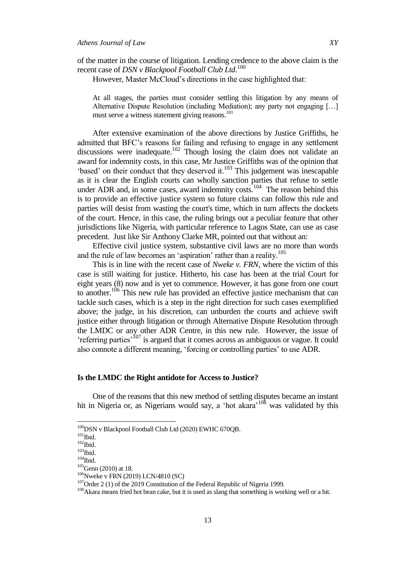of the matter in the course of litigation. Lending credence to the above claim is the recent case of *DSN v Blackpool Football Club Ltd.*<sup>100</sup>

However, Master McCloud"s directions in the case highlighted that:

At all stages, the parties must consider settling this litigation by any means of Alternative Dispute Resolution (including Mediation); any party not engaging […] must serve a witness statement giving reasons.<sup>101</sup>

After extensive examination of the above directions by Justice Griffiths, he admitted that BFC"s reasons for failing and refusing to engage in any settlement discussions were inadequate.<sup>102</sup> Though losing the claim does not validate an award for indemnity costs, in this case, Mr Justice Griffiths was of the opinion that "based" on their conduct that they deserved it. $^{103}$  This judgement was inescapable as it is clear the English courts can wholly sanction parties that refuse to settle under ADR and, in some cases, award indemnity costs.<sup>104</sup> The reason behind this is to provide an effective justice system so future claims can follow this rule and parties will desist from wasting the court's time, which in turn affects the dockets of the court. Hence, in this case, the ruling brings out a peculiar feature that other jurisdictions like Nigeria, with particular reference to Lagos State, can use as case precedent. Just like Sir Anthony Clarke MR, pointed out that without an:

Effective civil justice system, substantive civil laws are no more than words and the rule of law becomes an 'aspiration' rather than a reality.<sup>105</sup>

This is in line with the recent case of *Nweke v. FRN*, where the victim of this case is still waiting for justice. Hitherto, his case has been at the trial Court for eight years (8) now and is yet to commence. However, it has gone from one court to another.<sup>106</sup> This new rule has provided an effective justice mechanism that can tackle such cases, which is a step in the right direction for such cases exemplified above; the judge, in his discretion, can unburden the courts and achieve swift justice either through litigation or through Alternative Dispute Resolution through the LMDC or any other ADR Centre, in this new rule. However, the issue of "referring parties<sup>"</sup><sup>107</sup> is argued that it comes across as ambiguous or vague. It could also connote a different meaning, 'forcing or controlling parties' to use ADR.

# **Is the LMDC the Right antidote for Access to Justice?**

One of the reasons that this new method of settling disputes became an instant hit in Nigeria or, as Nigerians would say, a 'hot akara'<sup>108</sup> was validated by this

<sup>&</sup>lt;sup>100</sup>DSN v Blackpool Football Club Ltd (2020) EWHC 670QB.

 $101$ Ibid.

 $102$ Ibid.

 $^{103}\mathrm{Ibid.}$ 

 $^{104}\mathrm{Ibid.}$ 

<sup>&</sup>lt;sup>105</sup>Genn (2010) at 18.

 $106$ Nweke v FRN (2019) LCN/4810 (SC)

<sup>107</sup>Order 2 (1) of the 2019 Constitution of the Federal Republic of Nigeria 1999*.*

<sup>&</sup>lt;sup>108</sup>Akara means fried hot bean cake, but it is used as slang that something is working well or a hit.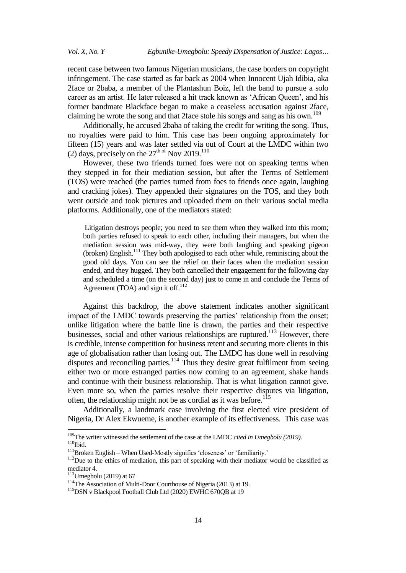recent case between two famous Nigerian musicians, the case borders on copyright infringement. The case started as far back as 2004 when Innocent Ujah Idibia, aka 2face or 2baba, a member of the Plantashun Boiz, left the band to pursue a solo career as an artist. He later released a hit track known as "African Queen", and his former bandmate Blackface began to make a ceaseless accusation against 2face, claiming he wrote the song and that 2face stole his songs and sang as his own.<sup>109</sup>

Additionally, he accused 2baba of taking the credit for writing the song. Thus, no royalties were paid to him. This case has been ongoing approximately for fifteen (15) years and was later settled via out of Court at the LMDC within two (2) days, precisely on the  $27<sup>th of</sup>$  Nov  $2019<sup>110</sup>$ 

However, these two friends turned foes were not on speaking terms when they stepped in for their mediation session, but after the Terms of Settlement (TOS) were reached (the parties turned from foes to friends once again, laughing and cracking jokes). They appended their signatures on the TOS, and they both went outside and took pictures and uploaded them on their various social media platforms. Additionally, one of the mediators stated:

Litigation destroys people; you need to see them when they walked into this room; both parties refused to speak to each other, including their managers, but when the mediation session was mid-way, they were both laughing and speaking pigeon  $(broken)$  English.<sup>111</sup> They both apologised to each other while, reminiscing about the good old days. You can see the relief on their faces when the mediation session ended, and they hugged. They both cancelled their engagement for the following day and scheduled a time (on the second day) just to come in and conclude the Terms of Agreement (TOA) and sign it off. $112$ 

Against this backdrop, the above statement indicates another significant impact of the LMDC towards preserving the parties' relationship from the onset; unlike litigation where the battle line is drawn, the parties and their respective businesses, social and other various relationships are ruptured.<sup>113</sup> However, there is credible, intense competition for business retent and securing more clients in this age of globalisation rather than losing out. The LMDC has done well in resolving disputes and reconciling parties.<sup>114</sup> Thus they desire great fulfilment from seeing either two or more estranged parties now coming to an agreement, shake hands and continue with their business relationship. That is what litigation cannot give. Even more so, when the parties resolve their respective disputes via litigation, often, the relationship might not be as cordial as it was before.<sup>115</sup>

Additionally, a landmark case involving the first elected vice president of Nigeria, Dr Alex Ekwueme, is another example of its effectiveness. This case was

<sup>109</sup>The writer witnessed the settlement of the case at the LMDC *cited in Umegbolu (2019).*  $^{110}$  Ibid.

<sup>&</sup>lt;sup>111</sup>Broken English – When Used-Mostly signifies 'closeness' or 'familiarity.'

<sup>&</sup>lt;sup>112</sup>Due to the ethics of mediation, this part of speaking with their mediator would be classified as mediator 4.

 $113$ Umegbolu (2019) at 67

<sup>&</sup>lt;sup>114</sup>The Association of Multi-Door Courthouse of Nigeria (2013) at 19.

<sup>115</sup>DSN v Blackpool Football Club Ltd (2020) EWHC 670QB at 19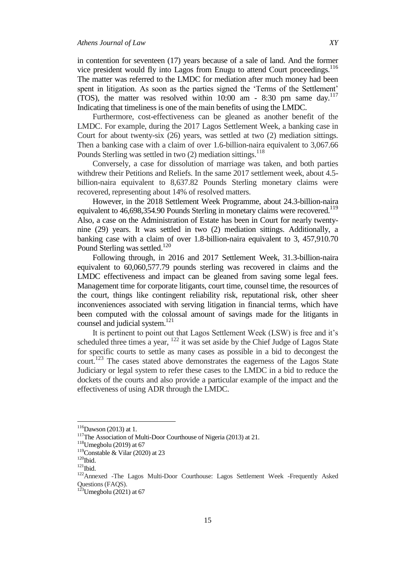in contention for seventeen (17) years because of a sale of land. And the former vice president would fly into Lagos from Enugu to attend Court proceedings.<sup>116</sup> The matter was referred to the LMDC for mediation after much money had been spent in litigation. As soon as the parties signed the 'Terms of the Settlement' (TOS), the matter was resolved within  $10:00$  am - 8:30 pm same day.<sup>117</sup> Indicating that timeliness is one of the main benefits of using the LMDC.

Furthermore, cost-effectiveness can be gleaned as another benefit of the LMDC. For example, during the 2017 Lagos Settlement Week, a banking case in Court for about twenty-six (26) years, was settled at two (2) mediation sittings. Then a banking case with a claim of over 1.6-billion-naira equivalent to 3,067.66 Pounds Sterling was settled in two (2) mediation sittings.<sup>118</sup>

Conversely, a case for dissolution of marriage was taken, and both parties withdrew their Petitions and Reliefs. In the same 2017 settlement week, about 4.5 billion-naira equivalent to 8,637.82 Pounds Sterling monetary claims were recovered, representing about 14% of resolved matters.

However, in the 2018 Settlement Week Programme, about 24.3-billion-naira equivalent to 46,698,354.90 Pounds Sterling in monetary claims were recovered.<sup>119</sup> Also, a case on the Administration of Estate has been in Court for nearly twentynine (29) years. It was settled in two (2) mediation sittings. Additionally, a banking case with a claim of over 1.8-billion-naira equivalent to 3, 457,910.70 Pound Sterling was settled.<sup>120</sup>

Following through, in 2016 and 2017 Settlement Week, 31.3-billion-naira equivalent to 60,060,577.79 pounds sterling was recovered in claims and the LMDC effectiveness and impact can be gleaned from saving some legal fees. Management time for corporate litigants, court time, counsel time, the resources of the court, things like contingent reliability risk, reputational risk, other sheer inconveniences associated with serving litigation in financial terms, which have been computed with the colossal amount of savings made for the litigants in counsel and judicial system.<sup>121</sup>

It is pertinent to point out that Lagos Settlement Week (LSW) is free and it's scheduled three times a year,  $122$  it was set aside by the Chief Judge of Lagos State for specific courts to settle as many cases as possible in a bid to decongest the court.<sup>123</sup> The cases stated above demonstrates the eagerness of the Lagos State Judiciary or legal system to refer these cases to the LMDC in a bid to reduce the dockets of the courts and also provide a particular example of the impact and the effectiveness of using ADR through the LMDC.

 $116$ Dawson (2013) at 1.

<sup>&</sup>lt;sup>117</sup>The Association of Multi-Door Courthouse of Nigeria (2013) at 21.

 $118$ Umegbolu (2019) at 67

<sup>&</sup>lt;sup>119</sup>Constable & Vilar (2020) at 23

 $^{120}$  Ibid.

 $121$ Ibid.

<sup>122</sup>Annexed -The Lagos Multi-Door Courthouse: Lagos Settlement Week -Frequently Asked Questions (FAQS).

 $123$ Umegbolu (2021) at 67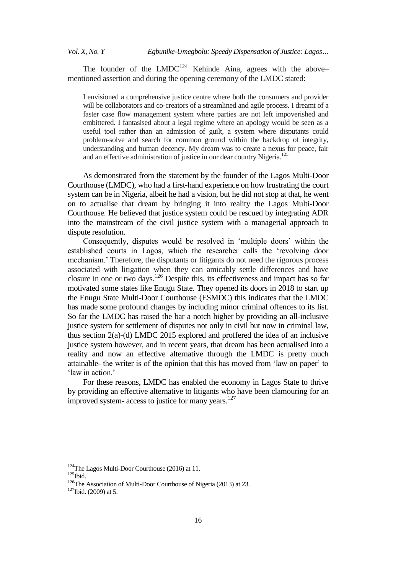The founder of the  $LMDC^{124}$  Kehinde Aina, agrees with the above– mentioned assertion and during the opening ceremony of the LMDC stated:

I envisioned a comprehensive justice centre where both the consumers and provider will be collaborators and co-creators of a streamlined and agile process. I dreamt of a faster case flow management system where parties are not left impoverished and embittered. I fantasised about a legal regime where an apology would be seen as a useful tool rather than an admission of guilt, a system where disputants could problem-solve and search for common ground within the backdrop of integrity, understanding and human decency. My dream was to create a nexus for peace, fair and an effective administration of justice in our dear country Nigeria.<sup>125</sup>

As demonstrated from the statement by the founder of the Lagos Multi-Door Courthouse (LMDC), who had a first-hand experience on how frustrating the court system can be in Nigeria, albeit he had a vision, but he did not stop at that, he went on to actualise that dream by bringing it into reality the Lagos Multi-Door Courthouse. He believed that justice system could be rescued by integrating ADR into the mainstream of the civil justice system with a managerial approach to dispute resolution.

Consequently, disputes would be resolved in 'multiple doors' within the established courts in Lagos, which the researcher calls the "revolving door mechanism." Therefore, the disputants or litigants do not need the rigorous process associated with litigation when they can amicably settle differences and have closure in one or two days.<sup>126</sup> Despite this, its effectiveness and impact has so far motivated some states like Enugu State. They opened its doors in 2018 to start up the Enugu State Multi-Door Courthouse (ESMDC) this indicates that the LMDC has made some profound changes by including minor criminal offences to its list. So far the LMDC has raised the bar a notch higher by providing an all-inclusive justice system for settlement of disputes not only in civil but now in criminal law, thus section 2(a)-(d) LMDC 2015 explored and proffered the idea of an inclusive justice system however, and in recent years, that dream has been actualised into a reality and now an effective alternative through the LMDC is pretty much attainable- the writer is of the opinion that this has moved from "law on paper" to 'law in action.'

For these reasons, LMDC has enabled the economy in Lagos State to thrive by providing an effective alternative to litigants who have been clamouring for an improved system- access to justice for many years.<sup>127</sup>

<sup>&</sup>lt;sup>124</sup>The Lagos Multi-Door Courthouse (2016) at 11.

 $125$ Ibid.

<sup>&</sup>lt;sup>126</sup>The Association of Multi-Door Courthouse of Nigeria (2013) at 23.

 $127$ Ibid. (2009) at 5.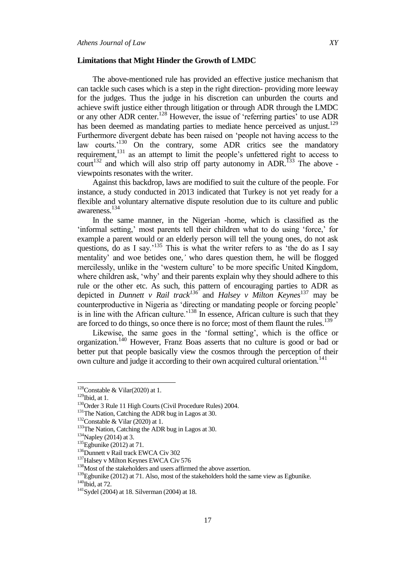### **Limitations that Might Hinder the Growth of LMDC**

The above-mentioned rule has provided an effective justice mechanism that can tackle such cases which is a step in the right direction- providing more leeway for the judges. Thus the judge in his discretion can unburden the courts and achieve swift justice either through litigation or through ADR through the LMDC or any other ADR center.<sup>128</sup> However, the issue of 'referring parties' to use ADR has been deemed as mandating parties to mediate hence perceived as unjust.<sup>129</sup> Furthermore divergent debate has been raised on "people not having access to the law courts.<sup>130</sup> On the contrary, some ADR critics see the mandatory requirement,<sup>131</sup> as an attempt to limit the people's unfettered right to access to court<sup>132</sup> and which will also strip off party autonomy in ADR.<sup>133</sup> The above viewpoints resonates with the writer.

Against this backdrop, laws are modified to suit the culture of the people. For instance, a study conducted in 2013 indicated that Turkey is not yet ready for a flexible and voluntary alternative dispute resolution due to its culture and public awareness.<sup>134</sup>

In the same manner, in the Nigerian -home, which is classified as the 'informal setting,' most parents tell their children what to do using 'force,' for example a parent would or an elderly person will tell the young ones, do not ask questions, do as I say.<sup> $135$ </sup> This is what the writer refers to as 'the do as I say mentality" and woe betides one,*'* who dares question them, he will be flogged mercilessly, unlike in the "western culture" to be more specific United Kingdom, where children ask, 'why' and their parents explain why they should adhere to this rule or the other etc. As such, this pattern of encouraging parties to ADR as depicted in *Dunnett v Rail track<sup>136</sup>* and *Halsey v Milton Keynes*<sup>137</sup> may be counterproductive in Nigeria as 'directing or mandating people or forcing people' is in line with the African culture.<sup> $138$ </sup> In essence, African culture is such that they are forced to do things, so once there is no force; most of them flaunt the rules.<sup>139</sup>

Likewise, the same goes in the "formal setting", which is the office or organization.<sup>140</sup> However, Franz Boas asserts that no culture is good or bad or better put that people basically view the cosmos through the perception of their own culture and judge it according to their own acquired cultural orientation*.* 141

<sup>&</sup>lt;sup>128</sup>Constable & Vilar(2020) at 1.

 $129$ Ibid, at 1.

<sup>&</sup>lt;sup>130</sup>Order 3 Rule 11 High Courts (Civil Procedure Rules) 2004.

<sup>&</sup>lt;sup>131</sup>The Nation, Catching the ADR bug in Lagos at 30.

<sup>&</sup>lt;sup>132</sup>Constable & Vilar (2020) at 1.

<sup>&</sup>lt;sup>133</sup>The Nation, Catching the ADR bug in Lagos at 30.

<sup>&</sup>lt;sup>134</sup>Napley (2014) at 3.

 $135$ Egbunike (2012) at 71.

<sup>&</sup>lt;sup>136</sup>Dunnett v Rail track EWCA Civ 302

<sup>&</sup>lt;sup>137</sup>Halsey v Milton Keynes EWCA Civ 576

<sup>&</sup>lt;sup>138</sup>Most of the stakeholders and users affirmed the above assertion.

 $^{139}$ Egbunike (2012) at 71. Also, most of the stakeholders hold the same view as Egbunike.  $140$ Ibid, at 72.

<sup>141</sup>Sydel (2004) at 18. Silverman (2004) at 18.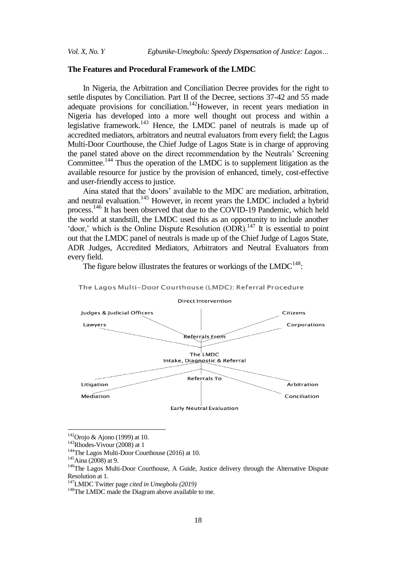# **The Features and Procedural Framework of the LMDC**

In Nigeria, the Arbitration and Conciliation Decree provides for the right to settle disputes by Conciliation. Part II of the Decree, sections 37-42 and 55 made adequate provisions for conciliation.<sup>142</sup>However, in recent years mediation in Nigeria has developed into a more well thought out process and within a legislative framework.<sup>143</sup> Hence, the LMDC panel of neutrals is made up of accredited mediators, arbitrators and neutral evaluators from every field; the Lagos Multi-Door Courthouse, the Chief Judge of Lagos State is in charge of approving the panel stated above on the direct recommendation by the Neutrals" Screening Committee.<sup>144</sup> Thus the operation of the LMDC is to supplement litigation as the available resource for justice by the provision of enhanced, timely, cost-effective and user-friendly access to justice.

Aina stated that the "doors" available to the MDC are mediation, arbitration, and neutral evaluation.<sup>145</sup> However, in recent years the LMDC included a hybrid process.<sup>146</sup> It has been observed that due to the COVID-19 Pandemic, which held the world at standstill, the LMDC used this as an opportunity to include another 'door,' which is the Online Dispute Resolution  $(DDR)$ <sup>147</sup> It is essential to point out that the LMDC panel of neutrals is made up of the Chief Judge of Lagos State, ADR Judges, Accredited Mediators, Arbitrators and Neutral Evaluators from every field.

The figure below illustrates the features or workings of the  $LMDC^{148}$ :



# The Lagos Multi-Door Courthouse (LMDC): Referral Procedure

 $142$ Orojo & Ajono (1999) at 10.

 $143$ Rhodes-Vivour (2008) at 1

<sup>144</sup>The Lagos Multi-Door Courthouse (2016) at 10.

 $145$ Aina (2008) at 9.

<sup>&</sup>lt;sup>146</sup>The Lagos Multi-Door Courthouse, A Guide, Justice delivery through the Alternative Dispute Resolution at 1.

<sup>147</sup>LMDC Twitter page *cited in Umegbolu (2019)*

<sup>&</sup>lt;sup>148</sup>The LMDC made the Diagram above available to me.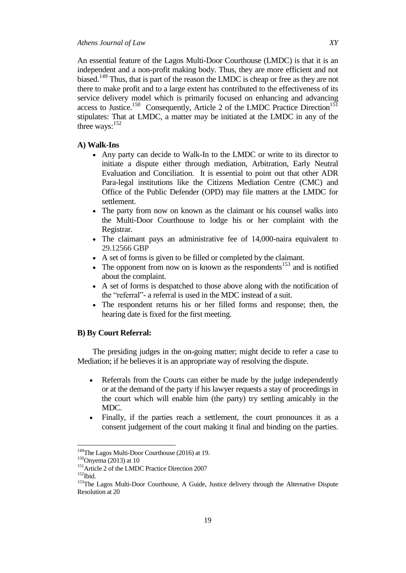An essential feature of the Lagos Multi-Door Courthouse (LMDC) is that it is an independent and a non-profit making body. Thus, they are more efficient and not biased.<sup>149</sup> Thus, that is part of the reason the LMDC is cheap or free as they are not there to make profit and to a large extent has contributed to the effectiveness of its service delivery model which is primarily focused on enhancing and advancing access to Justice.<sup>150</sup> Consequently, Article 2 of the LMDC Practice Direction<sup>151</sup> stipulates: That at LMDC, a matter may be initiated at the LMDC in any of the three ways: $152$ 

### **A) Walk-Ins**

- Any party can decide to Walk-In to the LMDC or write to its director to initiate a dispute either through mediation, Arbitration, Early Neutral Evaluation and Conciliation. It is essential to point out that other ADR Para-legal institutions like the Citizens Mediation Centre (CMC) and Office of the Public Defender (OPD) may file matters at the LMDC for settlement.
- The party from now on known as the claimant or his counsel walks into the Multi-Door Courthouse to lodge his or her complaint with the Registrar.
- The claimant pays an administrative fee of 14,000-naira equivalent to 29.12566 GBP
- A set of forms is given to be filled or completed by the claimant.
- The opponent from now on is known as the respondents<sup>153</sup> and is notified about the complaint.
- A set of forms is despatched to those above along with the notification of the "referral"- a referral is used in the MDC instead of a suit.
- The respondent returns his or her filled forms and response; then, the hearing date is fixed for the first meeting.

# **B) By Court Referral:**

The presiding judges in the on-going matter; might decide to refer a case to Mediation; if he believes it is an appropriate way of resolving the dispute.

- Referrals from the Courts can either be made by the judge independently or at the demand of the party if his lawyer requests a stay of proceedings in the court which will enable him (the party) try settling amicably in the MDC.
- Finally, if the parties reach a settlement, the court pronounces it as a consent judgement of the court making it final and binding on the parties.

<sup>&</sup>lt;sup>149</sup>The Lagos Multi-Door Courthouse (2016) at 19.

 $150$ Onyema (2013) at 10

<sup>&</sup>lt;sup>151</sup> Article 2 of the LMDC Practice Direction 2007  $152$  Ibid.

<sup>&</sup>lt;sup>153</sup>The Lagos Multi-Door Courthouse, A Guide, Justice delivery through the Alternative Dispute Resolution at 20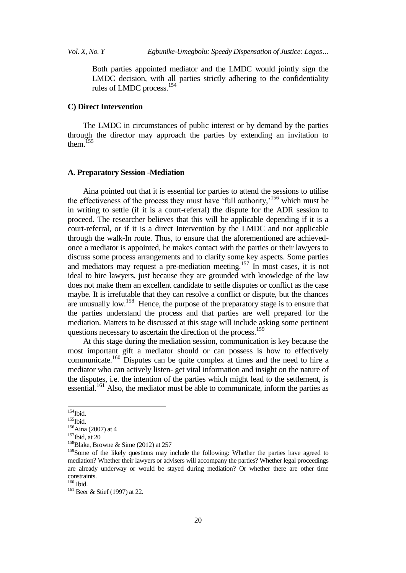Both parties appointed mediator and the LMDC would jointly sign the LMDC decision, with all parties strictly adhering to the confidentiality rules of LMDC process.<sup>154</sup>

### **C) Direct Intervention**

The LMDC in circumstances of public interest or by demand by the parties through the director may approach the parties by extending an invitation to them. $155$ 

### **A. Preparatory Session -Mediation**

Aina pointed out that it is essential for parties to attend the sessions to utilise the effectiveness of the process they must have 'full authority, $156$  which must be in writing to settle (if it is a court-referral) the dispute for the ADR session to proceed. The researcher believes that this will be applicable depending if it is a court-referral, or if it is a direct Intervention by the LMDC and not applicable through the walk-In route. Thus, to ensure that the aforementioned are achievedonce a mediator is appointed, he makes contact with the parties or their lawyers to discuss some process arrangements and to clarify some key aspects. Some parties and mediators may request a pre-mediation meeting.<sup>157</sup> In most cases, it is not ideal to hire lawyers, just because they are grounded with knowledge of the law does not make them an excellent candidate to settle disputes or conflict as the case maybe. It is irrefutable that they can resolve a conflict or dispute, but the chances are unusually low.<sup>158</sup> Hence, the purpose of the preparatory stage is to ensure that the parties understand the process and that parties are well prepared for the mediation. Matters to be discussed at this stage will include asking some pertinent questions necessary to ascertain the direction of the process.<sup>159</sup>

At this stage during the mediation session, communication is key because the most important gift a mediator should or can possess is how to effectively communicate.<sup>160</sup> Disputes can be quite complex at times and the need to hire a mediator who can actively listen- get vital information and insight on the nature of the disputes, i.e. the intention of the parties which might lead to the settlement, is  $\frac{161}{161}$  Also, the mediator must be able to communicate, inform the parties as

 $154$ Ibid.

 $155$ Thid.

 $156$ Aina (2007) at 4  $157$ Ibid, at 20

<sup>&</sup>lt;sup>158</sup>Blake, Browne & Sime (2012) at 257

<sup>&</sup>lt;sup>159</sup>Some of the likely questions may include the following: Whether the parties have agreed to mediation? Whether their lawyers or advisers will accompany the parties? Whether legal proceedings are already underway or would be stayed during mediation? Or whether there are other time constraints.

<sup>160</sup> Ibid.

<sup>&</sup>lt;sup>161</sup> Beer & Stief (1997) at 22.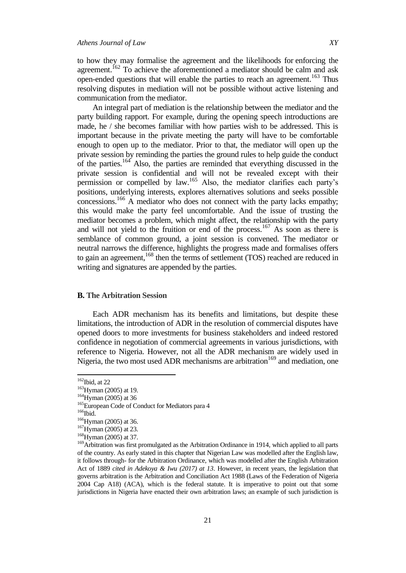to how they may formalise the agreement and the likelihoods for enforcing the agreement.<sup>162</sup> To achieve the aforementioned a mediator should be calm and ask open-ended questions that will enable the parties to reach an agreement.<sup>163</sup> Thus resolving disputes in mediation will not be possible without active listening and communication from the mediator.

An integral part of mediation is the relationship between the mediator and the party building rapport. For example, during the opening speech introductions are made, he / she becomes familiar with how parties wish to be addressed. This is important because in the private meeting the party will have to be comfortable enough to open up to the mediator. Prior to that, the mediator will open up the private session by reminding the parties the ground rules to help guide the conduct of the parties.<sup>164</sup> Also, the parties are reminded that everything discussed in the private session is confidential and will not be revealed except with their permission or compelled by law.<sup>165</sup> Also, the mediator clarifies each party"s positions, underlying interests, explores alternatives solutions and seeks possible concessions.<sup>166</sup> A mediator who does not connect with the party lacks empathy; this would make the party feel uncomfortable. And the issue of trusting the mediator becomes a problem, which might affect, the relationship with the party and will not yield to the fruition or end of the process.<sup>167</sup> As soon as there is semblance of common ground, a joint session is convened. The mediator or neutral narrows the difference, highlights the progress made and formalises offers to gain an agreement,<sup>168</sup> then the terms of settlement (TOS) reached are reduced in writing and signatures are appended by the parties.

# **B. The Arbitration Session**

Each ADR mechanism has its benefits and limitations, but despite these limitations, the introduction of ADR in the resolution of commercial disputes have opened doors to more investments for business stakeholders and indeed restored confidence in negotiation of commercial agreements in various jurisdictions, with reference to Nigeria. However, not all the ADR mechanism are widely used in Nigeria, the two most used ADR mechanisms are arbitration<sup>169</sup> and mediation, one

 $162$ Ibid, at 22

 $163$ Hyman (2005) at 19.

<sup>164</sup>Hyman (2005) at 36

<sup>&</sup>lt;sup>165</sup>European Code of Conduct for Mediators para 4

 $166$ Ibid.

 $166$ Hyman (2005) at 36.

<sup>&</sup>lt;sup>167</sup>Hyman (2005) at 23.

<sup>168</sup>Hyman (2005) at 37.

<sup>&</sup>lt;sup>169</sup>Arbitration was first promulgated as the Arbitration Ordinance in 1914, which applied to all parts of the country. As early stated in this chapter that Nigerian Law was modelled after the English law, it follows through- for the Arbitration Ordinance, which was modelled after the English Arbitration Act of 1889 *cited in Adekoya & Iwu (2017) at 13*. However, in recent years, the legislation that governs arbitration is the Arbitration and Conciliation Act 1988 (Laws of the Federation of Nigeria 2004 Cap A18) (ACA), which is the federal statute. It is imperative to point out that some jurisdictions in Nigeria have enacted their own arbitration laws; an example of such jurisdiction is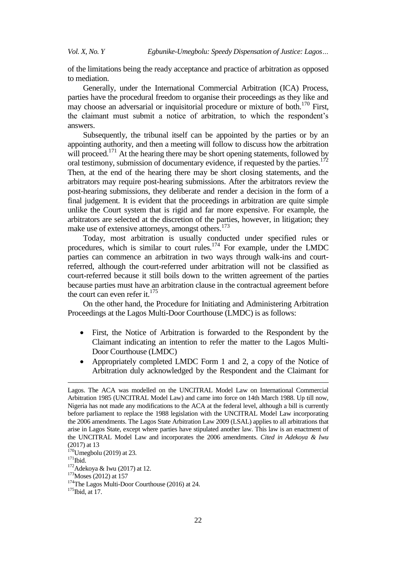of the limitations being the ready acceptance and practice of arbitration as opposed to mediation.

Generally, under the International Commercial Arbitration (ICA) Process, parties have the procedural freedom to organise their proceedings as they like and may choose an adversarial or inquisitorial procedure or mixture of both.<sup>170</sup> First, the claimant must submit a notice of arbitration, to which the respondent"s answers.

Subsequently, the tribunal itself can be appointed by the parties or by an appointing authority, and then a meeting will follow to discuss how the arbitration will proceed.<sup>171</sup> At the hearing there may be short opening statements, followed by oral testimony, submission of documentary evidence, if requested by the parties.<sup>172</sup> Then, at the end of the hearing there may be short closing statements, and the arbitrators may require post-hearing submissions. After the arbitrators review the post-hearing submissions, they deliberate and render a decision in the form of a final judgement. It is evident that the proceedings in arbitration are quite simple unlike the Court system that is rigid and far more expensive. For example, the arbitrators are selected at the discretion of the parties, however, in litigation; they make use of extensive attorneys, amongst others.<sup>173</sup>

Today, most arbitration is usually conducted under specified rules or procedures, which is similar to court rules.<sup>174</sup> For example, under the LMDC parties can commence an arbitration in two ways through walk-ins and courtreferred, although the court-referred under arbitration will not be classified as court-referred because it still boils down to the written agreement of the parties because parties must have an arbitration clause in the contractual agreement before the court can even refer it. $175$ 

On the other hand, the Procedure for Initiating and Administering Arbitration Proceedings at the Lagos Multi-Door Courthouse (LMDC) is as follows:

- First, the Notice of Arbitration is forwarded to the Respondent by the Claimant indicating an intention to refer the matter to the Lagos Multi-Door Courthouse (LMDC)
- Appropriately completed LMDC Form 1 and 2, a copy of the Notice of Arbitration duly acknowledged by the Respondent and the Claimant for

-

Lagos. The ACA was modelled on the UNCITRAL Model Law on International Commercial Arbitration 1985 (UNCITRAL Model Law) and came into force on 14th March 1988. Up till now, Nigeria has not made any modifications to the ACA at the federal level, although a bill is currently before parliament to replace the 1988 legislation with the UNCITRAL Model Law incorporating the 2006 amendments. The Lagos State Arbitration Law 2009 (LSAL) applies to all arbitrations that arise in Lagos State, except where parties have stipulated another law. This law is an enactment of the UNCITRAL Model Law and incorporates the 2006 amendments. *Cited in Adekoya & Iwu* (2017) at 13

 $170$ Umegbolu (2019) at 23.

 $171$ Ibid.

<sup>172</sup>Adekoya & Iwu (2017) at 12.

 $173$  Moses (2012) at 157

<sup>&</sup>lt;sup>174</sup>The Lagos Multi-Door Courthouse (2016) at 24.

 $175$ Ibid, at 17.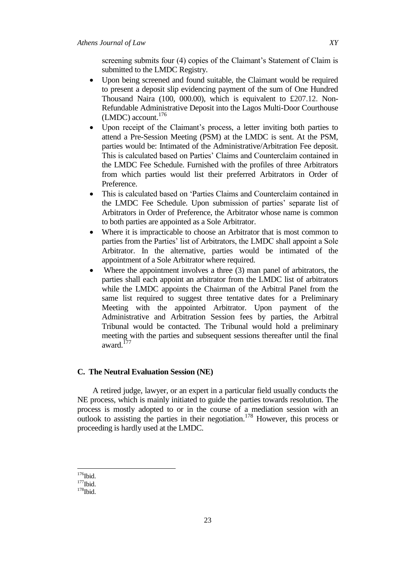screening submits four (4) copies of the Claimant's Statement of Claim is submitted to the LMDC Registry.

- Upon being screened and found suitable, the Claimant would be required to present a deposit slip evidencing payment of the sum of One Hundred Thousand Naira (100, 000.00), which is equivalent to £207.12. Non-Refundable Administrative Deposit into the Lagos Multi-Door Courthouse  $(LMDC)$  account.<sup>176</sup>
- Upon receipt of the Claimant's process, a letter inviting both parties to attend a Pre-Session Meeting (PSM) at the LMDC is sent. At the PSM, parties would be: Intimated of the Administrative/Arbitration Fee deposit. This is calculated based on Parties' Claims and Counterclaim contained in the LMDC Fee Schedule. Furnished with the profiles of three Arbitrators from which parties would list their preferred Arbitrators in Order of Preference.
- This is calculated based on "Parties Claims and Counterclaim contained in the LMDC Fee Schedule. Upon submission of parties" separate list of Arbitrators in Order of Preference, the Arbitrator whose name is common to both parties are appointed as a Sole Arbitrator.
- Where it is impracticable to choose an Arbitrator that is most common to parties from the Parties' list of Arbitrators, the LMDC shall appoint a Sole Arbitrator. In the alternative, parties would be intimated of the appointment of a Sole Arbitrator where required.
- Where the appointment involves a three (3) man panel of arbitrators, the parties shall each appoint an arbitrator from the LMDC list of arbitrators while the LMDC appoints the Chairman of the Arbitral Panel from the same list required to suggest three tentative dates for a Preliminary Meeting with the appointed Arbitrator. Upon payment of the Administrative and Arbitration Session fees by parties, the Arbitral Tribunal would be contacted. The Tribunal would hold a preliminary meeting with the parties and subsequent sessions thereafter until the final award.<sup>177</sup>

# **C. The Neutral Evaluation Session (NE)**

A retired judge, lawyer, or an expert in a particular field usually conducts the NE process, which is mainly initiated to guide the parties towards resolution. The process is mostly adopted to or in the course of a mediation session with an outlook to assisting the parties in their negotiation.<sup>178</sup> However, this process or proceeding is hardly used at the LMDC.

 $176$ Ibid.

 $177$ Ibid.

 $178$ Ibid.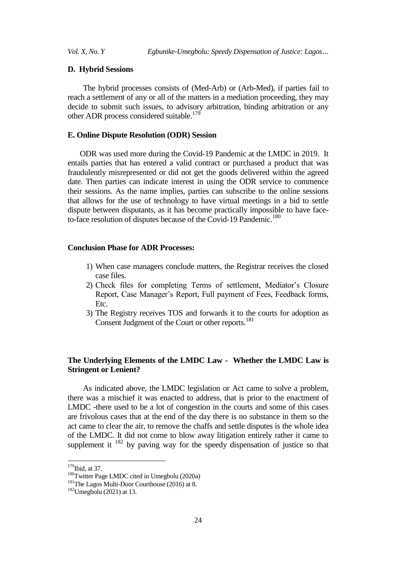# **D. Hybrid Sessions**

The hybrid processes consists of (Med-Arb) or (Arb-Med), if parties fail to reach a settlement of any or all of the matters in a mediation proceeding, they may decide to submit such issues, to advisory arbitration, binding arbitration or any other ADR process considered suitable.<sup>179</sup>

# **E. Online Dispute Resolution (ODR) Session**

ODR was used more during the Covid-19 Pandemic at the LMDC in 2019. It entails parties that has entered a valid contract or purchased a product that was fraudulently misrepresented or did not get the goods delivered within the agreed date. Then parties can indicate interest in using the ODR service to commence their sessions. As the name implies, parties can subscribe to the online sessions that allows for the use of technology to have virtual meetings in a bid to settle dispute between disputants, as it has become practically impossible to have faceto-face resolution of disputes because of the Covid-19 Pandemic.<sup>180</sup>

### **Conclusion Phase for ADR Processes:**

- 1) When case managers conclude matters, the Registrar receives the closed case files.
- 2) Check files for completing Terms of settlement, Mediator's Closure Report, Case Manager"s Report, Full payment of Fees, Feedback forms, Etc.
- 3) The Registry receives TOS and forwards it to the courts for adoption as Consent Judgment of the Court or other reports.<sup>181</sup>

# **The Underlying Elements of the LMDC Law - Whether the LMDC Law is Stringent or Lenient?**

As indicated above, the LMDC legislation or Act came to solve a problem, there was a mischief it was enacted to address, that is prior to the enactment of LMDC -there used to be a lot of congestion in the courts and some of this cases are frivolous cases that at the end of the day there is no substance in them so the act came to clear the air, to remove the chaffs and settle disputes is the whole idea of the LMDC. It did not come to blow away litigation entirely rather it came to supplement it  $182$  by paving way for the speedy dispensation of justice so that

 $179$ Ibid, at 37.

<sup>180</sup>Twitter Page LMDC cited in Umegbolu (2020a)

<sup>&</sup>lt;sup>181</sup>The Lagos Multi-Door Courthouse (2016) at 8.

 $182$ Umegbolu (2021) at 13.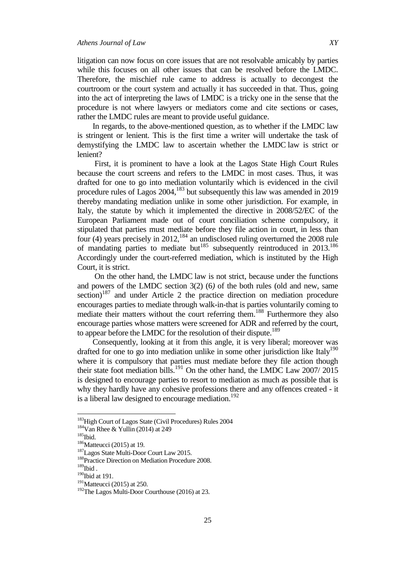litigation can now focus on core issues that are not resolvable amicably by parties while this focuses on all other issues that can be resolved before the LMDC. Therefore, the mischief rule came to address is actually to decongest the courtroom or the court system and actually it has succeeded in that. Thus, going into the act of interpreting the laws of LMDC is a tricky one in the sense that the procedure is not where lawyers or mediators come and cite sections or cases, rather the LMDC rules are meant to provide useful guidance.

In regards, to the above-mentioned question, as to whether if the LMDC law is stringent or lenient. This is the first time a writer will undertake the task of demystifying the LMDC law to ascertain whether the LMDC law is strict or lenient?

First, it is prominent to have a look at the Lagos State High Court Rules because the court screens and refers to the LMDC in most cases. Thus, it was drafted for one to go into mediation voluntarily which is evidenced in the civil procedure rules of Lagos  $2004$ ,<sup>183</sup> but subsequently this law was amended in 2019 thereby mandating mediation unlike in some other jurisdiction. For example, in Italy, the statute by which it implemented the directive in 2008/52/EC of the European Parliament made out of court conciliation scheme compulsory, it stipulated that parties must mediate before they file action in court, in less than four (4) years precisely in 2012,<sup>184</sup> an undisclosed ruling overturned the 2008 rule of mandating parties to mediate but<sup>185</sup> subsequently reintroduced in  $2013$ <sup>186</sup> Accordingly under the court-referred mediation, which is instituted by the High Court, it is strict.

On the other hand, the LMDC law is not strict, because under the functions and powers of the LMDC section 3(2) (6*)* of the both rules (old and new, same section)<sup>187</sup> and under Article 2 the practice direction on mediation procedure encourages parties to mediate through walk-in-that is parties voluntarily coming to mediate their matters without the court referring them.<sup>188</sup> Furthermore they also encourage parties whose matters were screened for ADR and referred by the court, to appear before the LMDC for the resolution of their dispute.<sup>189</sup>

Consequently, looking at it from this angle, it is very liberal; moreover was drafted for one to go into mediation unlike in some other jurisdiction like Italy<sup>190</sup> where it is compulsory that parties must mediate before they file action though their state foot mediation bills.<sup>191</sup> On the other hand, the LMDC Law  $2007/2015$ is designed to encourage parties to resort to mediation as much as possible that is why they hardly have any cohesive professions there and any offences created - it is a liberal law designed to encourage mediation.<sup>192</sup>

<sup>&</sup>lt;sup>183</sup>High Court of Lagos State (Civil Procedures) Rules 2004

 $184$ Van Rhee & Yullin (2014) at 249

 $^{185}\mathrm{Ibid.}$ 

 $186$ Matteucci (2015) at 19.

<sup>187</sup>Lagos State Multi-Door Court Law 2015.

<sup>&</sup>lt;sup>188</sup>Practice Direction on Mediation Procedure 2008.

 $189$ Ibid .

 $190$ Ibid at 191.

 $191$ Matteucci (2015) at 250.

<sup>&</sup>lt;sup>192</sup>The Lagos Multi-Door Courthouse (2016) at 23.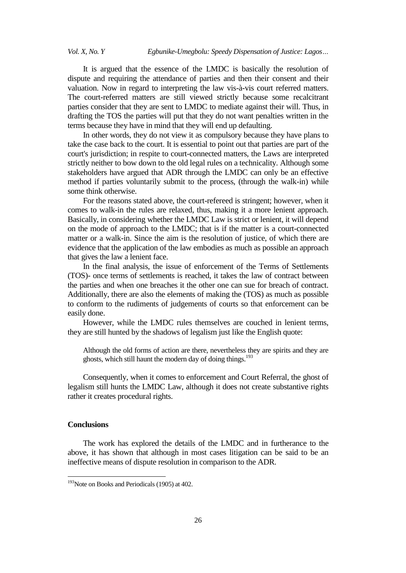It is argued that the essence of the LMDC is basically the resolution of dispute and requiring the attendance of parties and then their consent and their valuation. Now in regard to interpreting the law vis-à-vis court referred matters. The court-referred matters are still viewed strictly because some recalcitrant parties consider that they are sent to LMDC to mediate against their will. Thus, in drafting the TOS the parties will put that they do not want penalties written in the terms because they have in mind that they will end up defaulting.

In other words, they do not view it as compulsory because they have plans to take the case back to the court. It is essential to point out that parties are part of the court's jurisdiction; in respite to court-connected matters, the Laws are interpreted strictly neither to bow down to the old legal rules on a technicality. Although some stakeholders have argued that ADR through the LMDC can only be an effective method if parties voluntarily submit to the process, (through the walk-in) while some think otherwise.

For the reasons stated above, the court-refereed is stringent; however, when it comes to walk-in the rules are relaxed, thus, making it a more lenient approach. Basically, in considering whether the LMDC Law is strict or lenient, it will depend on the mode of approach to the LMDC; that is if the matter is a court-connected matter or a walk-in. Since the aim is the resolution of justice, of which there are evidence that the application of the law embodies as much as possible an approach that gives the law a lenient face.

In the final analysis, the issue of enforcement of the Terms of Settlements (TOS)- once terms of settlements is reached, it takes the law of contract between the parties and when one breaches it the other one can sue for breach of contract. Additionally, there are also the elements of making the (TOS) as much as possible to conform to the rudiments of judgements of courts so that enforcement can be easily done.

However, while the LMDC rules themselves are couched in lenient terms, they are still hunted by the shadows of legalism just like the English quote:

Although the old forms of action are there, nevertheless they are spirits and they are ghosts, which still haunt the modern day of doing things.<sup>193</sup>

Consequently, when it comes to enforcement and Court Referral, the ghost of legalism still hunts the LMDC Law, although it does not create substantive rights rather it creates procedural rights.

### **Conclusions**

 $\overline{a}$ 

The work has explored the details of the LMDC and in furtherance to the above, it has shown that although in most cases litigation can be said to be an ineffective means of dispute resolution in comparison to the ADR.

<sup>&</sup>lt;sup>193</sup>Note on Books and Periodicals (1905) at 402.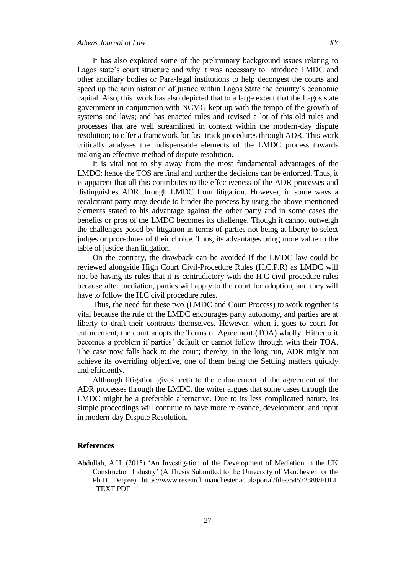It has also explored some of the preliminary background issues relating to Lagos state's court structure and why it was necessary to introduce LMDC and other ancillary bodies or Para-legal institutions to help decongest the courts and speed up the administration of justice within Lagos State the country's economic capital. Also, this work has also depicted that to a large extent that the Lagos state government in conjunction with NCMG kept up with the tempo of the growth of systems and laws; and has enacted rules and revised a lot of this old rules and processes that are well streamlined in context within the modern-day dispute resolution; to offer a framework for fast-track procedures through ADR. This work critically analyses the indispensable elements of the LMDC process towards making an effective method of dispute resolution.

It is vital not to shy away from the most fundamental advantages of the LMDC; hence the TOS are final and further the decisions can be enforced. Thus, it is apparent that all this contributes to the effectiveness of the ADR processes and distinguishes ADR through LMDC from litigation. However, in some ways a recalcitrant party may decide to hinder the process by using the above-mentioned elements stated to his advantage against the other party and in some cases the benefits or pros of the LMDC becomes its challenge. Though it cannot outweigh the challenges posed by litigation in terms of parties not being at liberty to select judges or procedures of their choice. Thus, its advantages bring more value to the table of justice than litigation.

On the contrary, the drawback can be avoided if the LMDC law could be reviewed alongside High Court Civil-Procedure Rules (H.C.P.R) as LMDC will not be having its rules that it is contradictory with the H.C civil procedure rules because after mediation, parties will apply to the court for adoption, and they will have to follow the H.C civil procedure rules.

Thus, the need for these two (LMDC and Court Process) to work together is vital because the rule of the LMDC encourages party autonomy, and parties are at liberty to draft their contracts themselves. However, when it goes to court for enforcement, the court adopts the Terms of Agreement (TOA) wholly. Hitherto it becomes a problem if parties' default or cannot follow through with their TOA. The case now falls back to the court; thereby, in the long run, ADR might not achieve its overriding objective, one of them being the Settling matters quickly and efficiently.

Although litigation gives teeth to the enforcement of the agreement of the ADR processes through the LMDC, the writer argues that some cases through the LMDC might be a preferable alternative. Due to its less complicated nature, its simple proceedings will continue to have more relevance, development, and input in modern-day Dispute Resolution.

### **References**

Abdullah, A.H. (2015) "An Investigation of the Development of Mediation in the UK Construction Industry" (A Thesis Submitted to the University of Manchester for the Ph.D. Degree). https://www.research.manchester.ac.uk/portal/files/54572388/FULL \_TEXT.PDF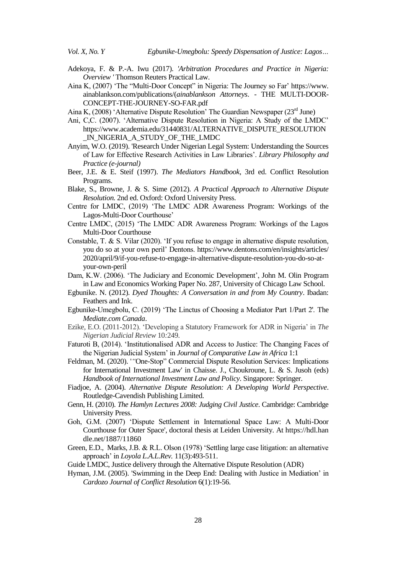- Adekoya, F. & P.-A. Iwu (2017). *'Arbitration Procedures and Practice in Nigeria: Overview '* Thomson Reuters Practical Law.
- Aina K, (2007) 'The "Multi-Door Concept" in Nigeria: The Journey so Far' https://www. ainablankson.com/publications/(*ainablankson Attorneys*. - THE MULTI-DOOR-CONCEPT-THE-JOURNEY-SO-FAR.pdf
- Aina K, (2008) 'Alternative Dispute Resolution' The Guardian Newspaper (23<sup>rd</sup> June)
- Ani, C,C. (2007). "Alternative Dispute Resolution in Nigeria: A Study of the LMDC" https://www.academia.edu/31440831/ALTERNATIVE\_DISPUTE\_RESOLUTION \_IN\_NIGERIA\_A\_STUDY\_OF\_THE\_LMDC
- Anyim, W.O. (2019). 'Research Under Nigerian Legal System: Understanding the Sources of Law for Effective Research Activities in Law Libraries". *Library Philosophy and Practice (e-journal)*
- Beer, J.E. & E. Steif (1997). *The Mediators Handbook*, 3rd ed. Conflict Resolution Programs.
- Blake, S., Browne, J. & S. Sime (2012). *A Practical Approach to Alternative Dispute Resolution.* 2nd ed. Oxford: Oxford University Press.
- Centre for LMDC, (2019) "The LMDC ADR Awareness Program: Workings of the Lagos-Multi-Door Courthouse"
- Centre LMDC, (2015) "The LMDC ADR Awareness Program: Workings of the Lagos Multi-Door Courthouse
- Constable, T. & S. Vilar (2020). "If you refuse to engage in alternative dispute resolution, you do so at your own peril" Dentons. https://www.dentons.com/en/insights/articles/ 2020/april/9/if-you-refuse-to-engage-in-alternative-dispute-resolution-you-do-so-atyour-own-peril
- Dam, K.W. (2006). 'The Judiciary and Economic Development', John M. Olin Program in Law and Economics Working Paper No. 287, University of Chicago Law School.
- Egbunike. N. (2012). *Dyed Thoughts: A Conversation in and from My Country*. Ibadan: Feathers and Ink.
- Egbunike-Umegbolu, C. (2019) "The Linctus of Choosing a Mediator Part 1/Part 2'. The *Mediate.com Canada*.
- Ezike, E.O. (2011-2012). "Developing a Statutory Framework for ADR in Nigeria" in *The Nigerian Judicial Review* 10*:*249.
- Faturoti B, (2014). "Institutionalised ADR and Access to Justice: The Changing Faces of the Nigerian Judicial System" in *Journal of Comparative Law in Africa* 1:1
- Feldman, M. (2020). '*"*One-Stop" Commercial Dispute Resolution Services: Implications for International Investment Law' in Chaisse. J., Choukroune, L. & S. Jusoh (eds) *Handbook of International Investment Law and Policy*. Singapore: Springer.
- Fiadjoe, A. (2004). *Alternative Dispute Resolution: A Developing World Perspective*. Routledge-Cavendish Publishing Limited.
- Genn, H. (2010). *The Hamlyn Lectures 2008: Judging Civil Justice*. Cambridge: Cambridge University Press.
- Goh, G.M. (2007) "Dispute Settlement in International Space Law: A Multi-Door Courthouse for Outer Space', doctoral thesis at Leiden University. At https://hdl.han dle.net/1887/11860
- Green, E.D., Marks, J.B. & R.L. Olson (1978) "Settling large case litigation: an alternative approach" in *Loyola L.A.L.Rev.* 11(3):493-511.
- Guide LMDC, Justice delivery through the Alternative Dispute Resolution (ADR)
- Hyman, J.M. (2005). 'Swimming in the Deep End: Dealing with Justice in Mediation" in *Cardozo Journal of Conflict Resolution* 6(1):19-56.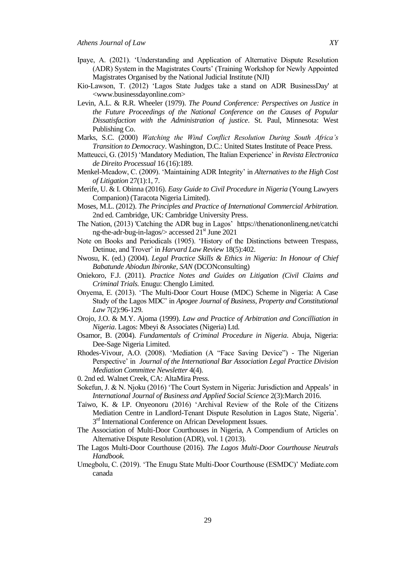- Ipaye, A. (2021). "Understanding and Application of Alternative Dispute Resolution (ADR) System in the Magistrates Courts" (Training Workshop for Newly Appointed Magistrates Organised by the National Judicial Institute (NJI)
- Kio-Lawson, T. (2012) "Lagos State Judges take a stand on ADR BusinessDay' at <www.businessdayonline.com>
- Levin, A.L. & R.R. Wheeler (1979). *The Pound Conference: Perspectives on Justice in the Future Proceedings of the National Conference on the Causes of Popular Dissatisfaction with the Administration of justice*. St. Paul, Minnesota: West Publishing Co.
- Marks, S.C. (2000) *Watching the Wind Conflict Resolution During South Africa's Transition to Democracy*. Washington, D.C.: United States Institute of Peace Press.
- Matteucci, G. (2015) "Mandatory Mediation, The Italian Experience" in *Revista Electronica de Direito Processual* 16 (16):189.
- Menkel-Meadow, C. (2009). "Maintaining ADR Integrity" in *Alternatives to the High Cost of Litigation* 27(1):1, 7.
- Merife, U. & I. Obinna (2016). *Easy Guide to Civil Procedure in Nigeria* (Young Lawyers Companion) (Taracota Nigeria Limited).
- Moses, M.L. (2012). *The Principles and Practice of International Commercial Arbitration.* 2nd ed. Cambridge, UK: Cambridge University Press.
- The Nation, (2013) 'Catching the ADR bug in Lagos' https://thenationonlineng.net/catchi ng-the-adr-bug-in-lagos/> accessed 21st June 2021
- Note on Books and Periodicals (1905). "History of the Distinctions between Trespass, Detinue, and Trover" in *Harvard Law Review* 18(5):402.
- Nwosu, K. (ed.) (2004). *Legal Practice Skills & Ethics in Nigeria: In Honour of Chief Babatunde Abiodun Ibironke, SAN* (DCONconsulting)
- Oniekoro, F.J. (2011). *Practice Notes and Guides on Litigation (Civil Claims and Criminal Trials.* Enugu: Chenglo Limited.
- Onyema, E. (2013). "The Multi-Door Court House (MDC) Scheme in Nigeria: A Case Study of the Lagos MDC" in *Apogee Journal of Business, Property and Constitutional Law* 7(2):96-129.
- Orojo, J.O. & M.Y. Ajoma (1999). *Law and Practice of Arbitration and Concilliation in Nigeria*. Lagos: Mbeyi & Associates (Nigeria) Ltd.
- Osamor, B. (2004). *Fundamentals of Criminal Procedure in Nigeria*. Abuja, Nigeria: Dee-Sage Nigeria Limited.
- Rhodes-Vivour, A.O. (2008). "Mediation (A "Face Saving Device") The Nigerian Perspective" in *Journal of the International Bar Association Legal Practice Division Mediation Committee Newsletter* 4(4).
- 0. 2nd ed. Walnet Creek, CA: AltaMira Press.
- Sokefun, J. & N. Njoku (2016) "The Court System in Nigeria: Jurisdiction and Appeals" in *International Journal of Business and Applied Social Science* 2(3):March 2016.
- Taiwo, K. & I.P. Onyeonoru (2016) "Archival Review of the Role of the Citizens Mediation Centre in Landlord-Tenant Dispute Resolution in Lagos State, Nigeria'. 3<sup>rd</sup> International Conference on African Development Issues.
- The Association of Multi-Door Courthouses in Nigeria, A Compendium of Articles on Alternative Dispute Resolution (ADR), vol. 1 (2013).
- The Lagos Multi-Door Courthouse (2016). *The Lagos Multi-Door Courthouse Neutrals Handbook.*
- Umegbolu, C. (2019). "The Enugu State Multi-Door Courthouse (ESMDC)" Mediate.com canada